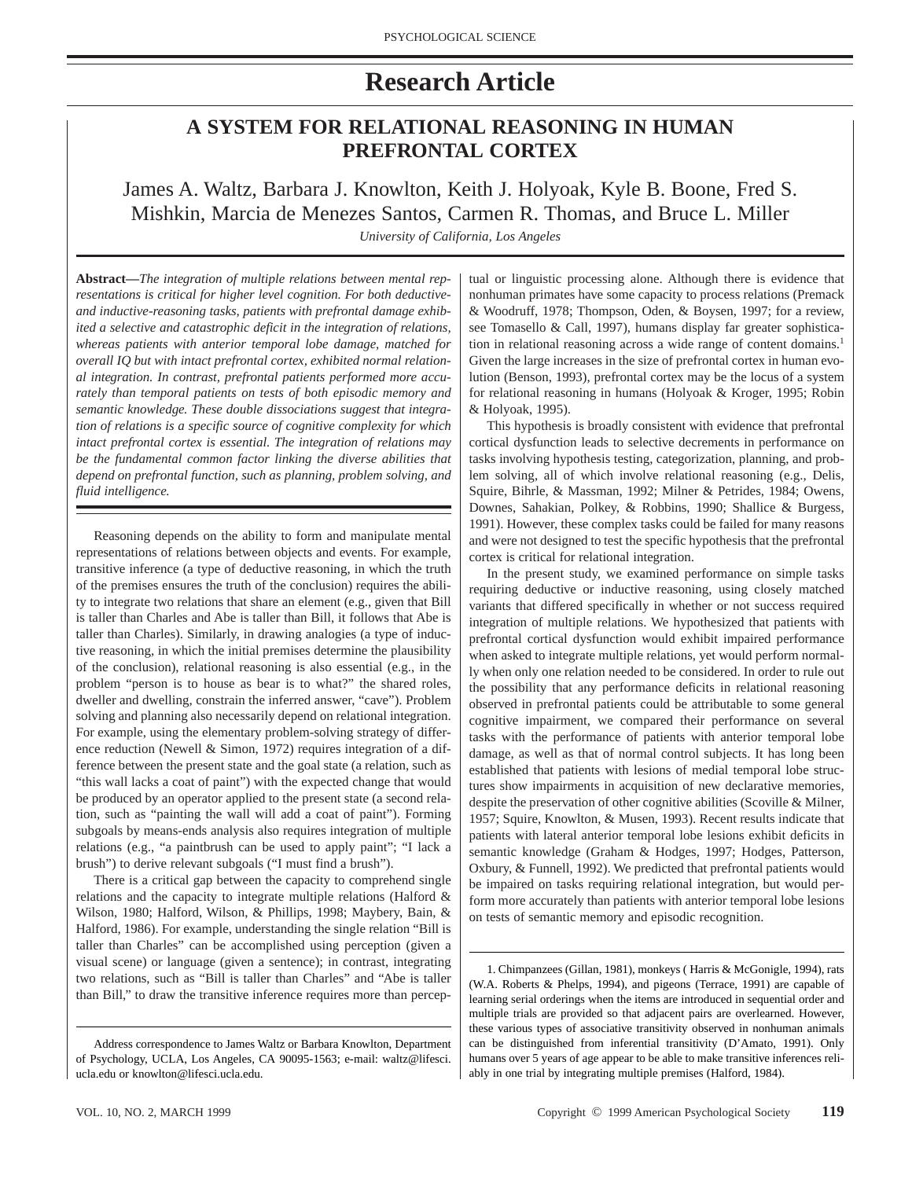# **Research Article**

# **A SYSTEM FOR RELATIONAL REASONING IN HUMAN PREFRONTAL CORTEX**

James A. Waltz, Barbara J. Knowlton, Keith J. Holyoak, Kyle B. Boone, Fred S. Mishkin, Marcia de Menezes Santos, Carmen R. Thomas, and Bruce L. Miller

*University of California, Los Angeles*

**Abstract—***The integration of multiple relations between mental representations is critical for higher level cognition. For both deductiveand inductive-reasoning tasks, patients with prefrontal damage exhibited a selective and catastrophic deficit in the integration of relations, whereas patients with anterior temporal lobe damage, matched for overall IQ but with intact prefrontal cortex, exhibited normal relational integration. In contrast, prefrontal patients performed more accurately than temporal patients on tests of both episodic memory and semantic knowledge. These double dissociations suggest that integration of relations is a specific source of cognitive complexity for which intact prefrontal cortex is essential. The integration of relations may be the fundamental common factor linking the diverse abilities that depend on prefrontal function, such as planning, problem solving, and fluid intelligence.*

Reasoning depends on the ability to form and manipulate mental representations of relations between objects and events. For example, transitive inference (a type of deductive reasoning, in which the truth of the premises ensures the truth of the conclusion) requires the ability to integrate two relations that share an element (e.g., given that Bill is taller than Charles and Abe is taller than Bill, it follows that Abe is taller than Charles). Similarly, in drawing analogies (a type of inductive reasoning, in which the initial premises determine the plausibility of the conclusion), relational reasoning is also essential (e.g., in the problem "person is to house as bear is to what?" the shared roles, dweller and dwelling, constrain the inferred answer, "cave"). Problem solving and planning also necessarily depend on relational integration. For example, using the elementary problem-solving strategy of difference reduction (Newell & Simon, 1972) requires integration of a difference between the present state and the goal state (a relation, such as "this wall lacks a coat of paint") with the expected change that would be produced by an operator applied to the present state (a second relation, such as "painting the wall will add a coat of paint"). Forming subgoals by means-ends analysis also requires integration of multiple relations (e.g., "a paintbrush can be used to apply paint"; "I lack a brush") to derive relevant subgoals ("I must find a brush").

There is a critical gap between the capacity to comprehend single relations and the capacity to integrate multiple relations (Halford & Wilson, 1980; Halford, Wilson, & Phillips, 1998; Maybery, Bain, & Halford, 1986). For example, understanding the single relation "Bill is taller than Charles" can be accomplished using perception (given a visual scene) or language (given a sentence); in contrast, integrating two relations, such as "Bill is taller than Charles" and "Abe is taller than Bill," to draw the transitive inference requires more than perceptual or linguistic processing alone. Although there is evidence that nonhuman primates have some capacity to process relations (Premack & Woodruff, 1978; Thompson, Oden, & Boysen, 1997; for a review, see Tomasello & Call, 1997), humans display far greater sophistication in relational reasoning across a wide range of content domains.<sup>1</sup> Given the large increases in the size of prefrontal cortex in human evolution (Benson, 1993), prefrontal cortex may be the locus of a system for relational reasoning in humans (Holyoak & Kroger, 1995; Robin & Holyoak, 1995).

This hypothesis is broadly consistent with evidence that prefrontal cortical dysfunction leads to selective decrements in performance on tasks involving hypothesis testing, categorization, planning, and problem solving, all of which involve relational reasoning (e.g., Delis, Squire, Bihrle, & Massman, 1992; Milner & Petrides, 1984; Owens, Downes, Sahakian, Polkey, & Robbins, 1990; Shallice & Burgess, 1991). However, these complex tasks could be failed for many reasons and were not designed to test the specific hypothesis that the prefrontal cortex is critical for relational integration.

In the present study, we examined performance on simple tasks requiring deductive or inductive reasoning, using closely matched variants that differed specifically in whether or not success required integration of multiple relations. We hypothesized that patients with prefrontal cortical dysfunction would exhibit impaired performance when asked to integrate multiple relations, yet would perform normally when only one relation needed to be considered. In order to rule out the possibility that any performance deficits in relational reasoning observed in prefrontal patients could be attributable to some general cognitive impairment, we compared their performance on several tasks with the performance of patients with anterior temporal lobe damage, as well as that of normal control subjects. It has long been established that patients with lesions of medial temporal lobe structures show impairments in acquisition of new declarative memories, despite the preservation of other cognitive abilities (Scoville & Milner, 1957; Squire, Knowlton, & Musen, 1993). Recent results indicate that patients with lateral anterior temporal lobe lesions exhibit deficits in semantic knowledge (Graham & Hodges, 1997; Hodges, Patterson, Oxbury, & Funnell, 1992). We predicted that prefrontal patients would be impaired on tasks requiring relational integration, but would perform more accurately than patients with anterior temporal lobe lesions on tests of semantic memory and episodic recognition.

Address correspondence to James Waltz or Barbara Knowlton, Department of Psychology, UCLA, Los Angeles, CA 90095-1563; e-mail: waltz@lifesci. ucla.edu or knowlton@lifesci.ucla.edu.

<sup>1.</sup> Chimpanzees (Gillan, 1981), monkeys ( Harris & McGonigle, 1994), rats (W.A. Roberts & Phelps, 1994), and pigeons (Terrace, 1991) are capable of learning serial orderings when the items are introduced in sequential order and multiple trials are provided so that adjacent pairs are overlearned. However, these various types of associative transitivity observed in nonhuman animals can be distinguished from inferential transitivity (D'Amato, 1991). Only humans over 5 years of age appear to be able to make transitive inferences reliably in one trial by integrating multiple premises (Halford, 1984).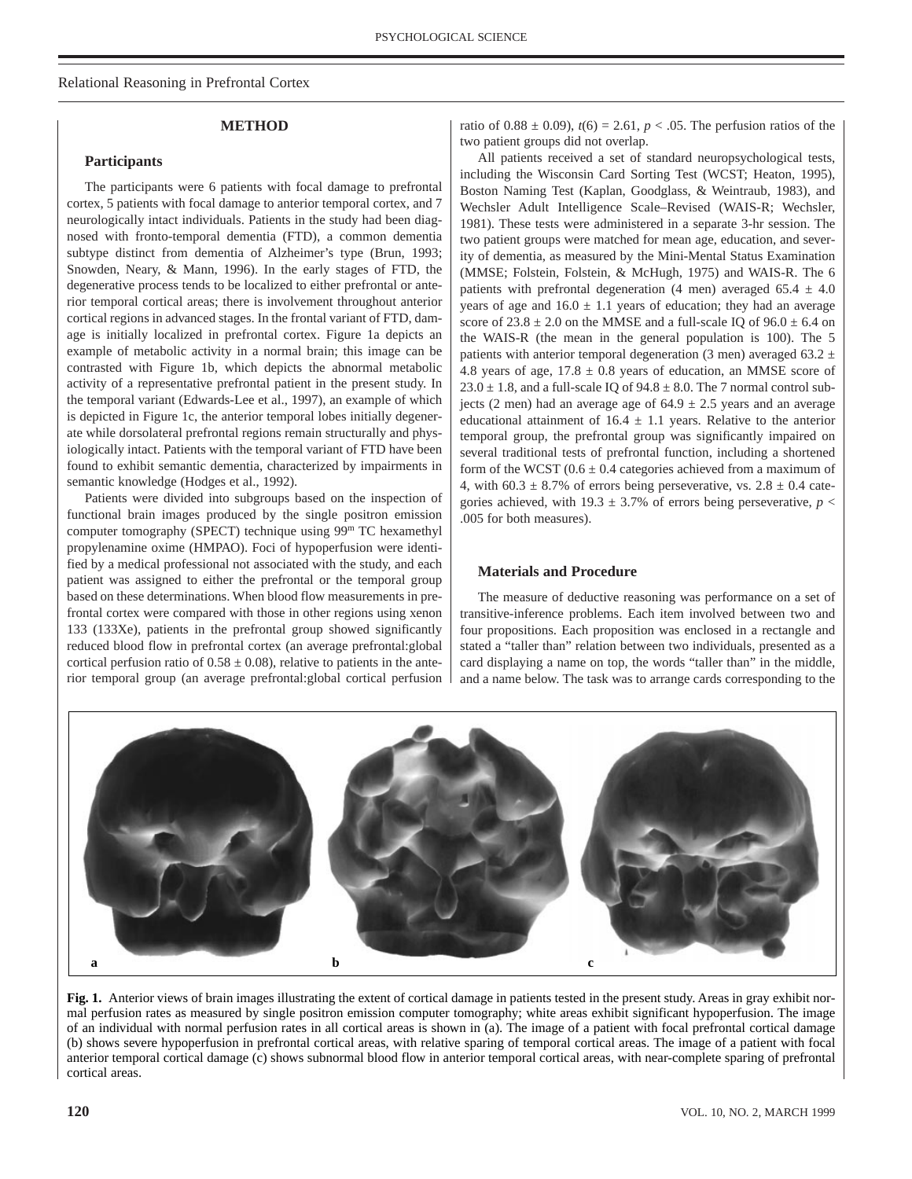#### Relational Reasoning in Prefrontal Cortex

#### **METHOD**

#### **Participants**

The participants were 6 patients with focal damage to prefrontal cortex, 5 patients with focal damage to anterior temporal cortex, and 7 neurologically intact individuals. Patients in the study had been diagnosed with fronto-temporal dementia (FTD), a common dementia subtype distinct from dementia of Alzheimer's type (Brun, 1993; Snowden, Neary, & Mann, 1996). In the early stages of FTD, the degenerative process tends to be localized to either prefrontal or anterior temporal cortical areas; there is involvement throughout anterior cortical regions in advanced stages. In the frontal variant of FTD, damage is initially localized in prefrontal cortex. Figure 1a depicts an example of metabolic activity in a normal brain; this image can be contrasted with Figure 1b, which depicts the abnormal metabolic activity of a representative prefrontal patient in the present study. In the temporal variant (Edwards-Lee et al., 1997), an example of which is depicted in Figure 1c, the anterior temporal lobes initially degenerate while dorsolateral prefrontal regions remain structurally and physiologically intact. Patients with the temporal variant of FTD have been found to exhibit semantic dementia, characterized by impairments in semantic knowledge (Hodges et al., 1992).

Patients were divided into subgroups based on the inspection of functional brain images produced by the single positron emission computer tomography (SPECT) technique using 99m TC hexamethyl propylenamine oxime (HMPAO). Foci of hypoperfusion were identified by a medical professional not associated with the study, and each patient was assigned to either the prefrontal or the temporal group based on these determinations. When blood flow measurements in prefrontal cortex were compared with those in other regions using xenon 133 (133Xe), patients in the prefrontal group showed significantly reduced blood flow in prefrontal cortex (an average prefrontal:global cortical perfusion ratio of  $0.58 \pm 0.08$ ), relative to patients in the anterior temporal group (an average prefrontal:global cortical perfusion ratio of  $0.88 \pm 0.09$ ,  $t(6) = 2.61$ ,  $p < .05$ . The perfusion ratios of the two patient groups did not overlap.

All patients received a set of standard neuropsychological tests, including the Wisconsin Card Sorting Test (WCST; Heaton, 1995), Boston Naming Test (Kaplan, Goodglass, & Weintraub, 1983), and Wechsler Adult Intelligence Scale–Revised (WAIS-R; Wechsler, 1981). These tests were administered in a separate 3-hr session. The two patient groups were matched for mean age, education, and severity of dementia, as measured by the Mini-Mental Status Examination (MMSE; Folstein, Folstein, & McHugh, 1975) and WAIS-R. The 6 patients with prefrontal degeneration (4 men) averaged  $65.4 \pm 4.0$ years of age and  $16.0 \pm 1.1$  years of education; they had an average score of  $23.8 \pm 2.0$  on the MMSE and a full-scale IQ of  $96.0 \pm 6.4$  on the WAIS-R (the mean in the general population is 100). The 5 patients with anterior temporal degeneration (3 men) averaged 63.2  $\pm$ 4.8 years of age,  $17.8 \pm 0.8$  years of education, an MMSE score of  $23.0 \pm 1.8$ , and a full-scale IQ of  $94.8 \pm 8.0$ . The 7 normal control subjects (2 men) had an average age of  $64.9 \pm 2.5$  years and an average educational attainment of  $16.4 \pm 1.1$  years. Relative to the anterior temporal group, the prefrontal group was significantly impaired on several traditional tests of prefrontal function, including a shortened form of the WCST ( $0.6 \pm 0.4$  categories achieved from a maximum of 4, with 60.3  $\pm$  8.7% of errors being perseverative, vs. 2.8  $\pm$  0.4 categories achieved, with 19.3  $\pm$  3.7% of errors being perseverative, *p* < .005 for both measures).

### **Materials and Procedure**

The measure of deductive reasoning was performance on a set of transitive-inference problems. Each item involved between two and four propositions. Each proposition was enclosed in a rectangle and stated a "taller than" relation between two individuals, presented as a card displaying a name on top, the words "taller than" in the middle, and a name below. The task was to arrange cards corresponding to the



Fig. 1. Anterior views of brain images illustrating the extent of cortical damage in patients tested in the present study. Areas in gray exhibit normal perfusion rates as measured by single positron emission computer tomography; white areas exhibit significant hypoperfusion. The image of an individual with normal perfusion rates in all cortical areas is shown in (a). The image of a patient with focal prefrontal cortical damage (b) shows severe hypoperfusion in prefrontal cortical areas, with relative sparing of temporal cortical areas. The image of a patient with focal anterior temporal cortical damage (c) shows subnormal blood flow in anterior temporal cortical areas, with near-complete sparing of prefrontal cortical areas.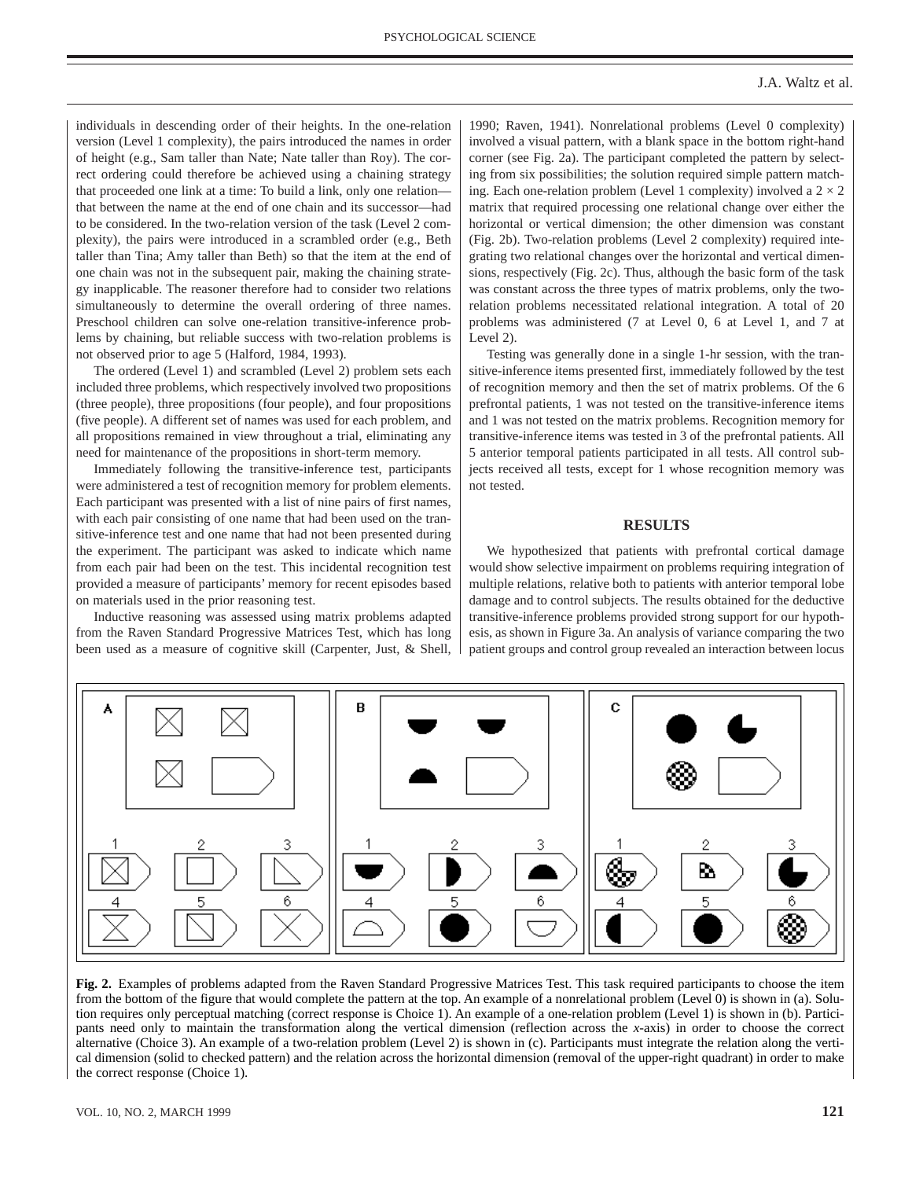#### PSYCHOLOGICAL SCIENCE

### J.A. Waltz et al.

individuals in descending order of their heights. In the one-relation version (Level 1 complexity), the pairs introduced the names in order of height (e.g., Sam taller than Nate; Nate taller than Roy). The correct ordering could therefore be achieved using a chaining strategy that proceeded one link at a time: To build a link, only one relation that between the name at the end of one chain and its successor—had to be considered. In the two-relation version of the task (Level 2 complexity), the pairs were introduced in a scrambled order (e.g., Beth taller than Tina; Amy taller than Beth) so that the item at the end of one chain was not in the subsequent pair, making the chaining strategy inapplicable. The reasoner therefore had to consider two relations simultaneously to determine the overall ordering of three names. Preschool children can solve one-relation transitive-inference problems by chaining, but reliable success with two-relation problems is not observed prior to age 5 (Halford, 1984, 1993).

The ordered (Level 1) and scrambled (Level 2) problem sets each included three problems, which respectively involved two propositions (three people), three propositions (four people), and four propositions (five people). A different set of names was used for each problem, and all propositions remained in view throughout a trial, eliminating any need for maintenance of the propositions in short-term memory.

Immediately following the transitive-inference test, participants were administered a test of recognition memory for problem elements. Each participant was presented with a list of nine pairs of first names, with each pair consisting of one name that had been used on the transitive-inference test and one name that had not been presented during the experiment. The participant was asked to indicate which name from each pair had been on the test. This incidental recognition test provided a measure of participants' memory for recent episodes based on materials used in the prior reasoning test.

Inductive reasoning was assessed using matrix problems adapted from the Raven Standard Progressive Matrices Test, which has long been used as a measure of cognitive skill (Carpenter, Just, & Shell,

1990; Raven, 1941). Nonrelational problems (Level 0 complexity) involved a visual pattern, with a blank space in the bottom right-hand corner (see Fig. 2a). The participant completed the pattern by selecting from six possibilities; the solution required simple pattern matching. Each one-relation problem (Level 1 complexity) involved a  $2 \times 2$ matrix that required processing one relational change over either the horizontal or vertical dimension; the other dimension was constant (Fig. 2b). Two-relation problems (Level 2 complexity) required integrating two relational changes over the horizontal and vertical dimensions, respectively (Fig. 2c). Thus, although the basic form of the task was constant across the three types of matrix problems, only the tworelation problems necessitated relational integration. A total of 20 problems was administered (7 at Level 0, 6 at Level 1, and 7 at Level 2).

Testing was generally done in a single 1-hr session, with the transitive-inference items presented first, immediately followed by the test of recognition memory and then the set of matrix problems. Of the 6 prefrontal patients, 1 was not tested on the transitive-inference items and 1 was not tested on the matrix problems. Recognition memory for transitive-inference items was tested in 3 of the prefrontal patients. All 5 anterior temporal patients participated in all tests. All control subjects received all tests, except for 1 whose recognition memory was not tested.

#### **RESULTS**

We hypothesized that patients with prefrontal cortical damage would show selective impairment on problems requiring integration of multiple relations, relative both to patients with anterior temporal lobe damage and to control subjects. The results obtained for the deductive transitive-inference problems provided strong support for our hypothesis, as shown in Figure 3a. An analysis of variance comparing the two patient groups and control group revealed an interaction between locus



**Fig. 2.** Examples of problems adapted from the Raven Standard Progressive Matrices Test. This task required participants to choose the item from the bottom of the figure that would complete the pattern at the top. An example of a nonrelational problem (Level 0) is shown in (a). Solution requires only perceptual matching (correct response is Choice 1). An example of a one-relation problem (Level 1) is shown in (b). Participants need only to maintain the transformation along the vertical dimension (reflection across the *x*-axis) in order to choose the correct alternative (Choice 3). An example of a two-relation problem (Level 2) is shown in (c). Participants must integrate the relation along the vertical dimension (solid to checked pattern) and the relation across the horizontal dimension (removal of the upper-right quadrant) in order to make the correct response (Choice 1).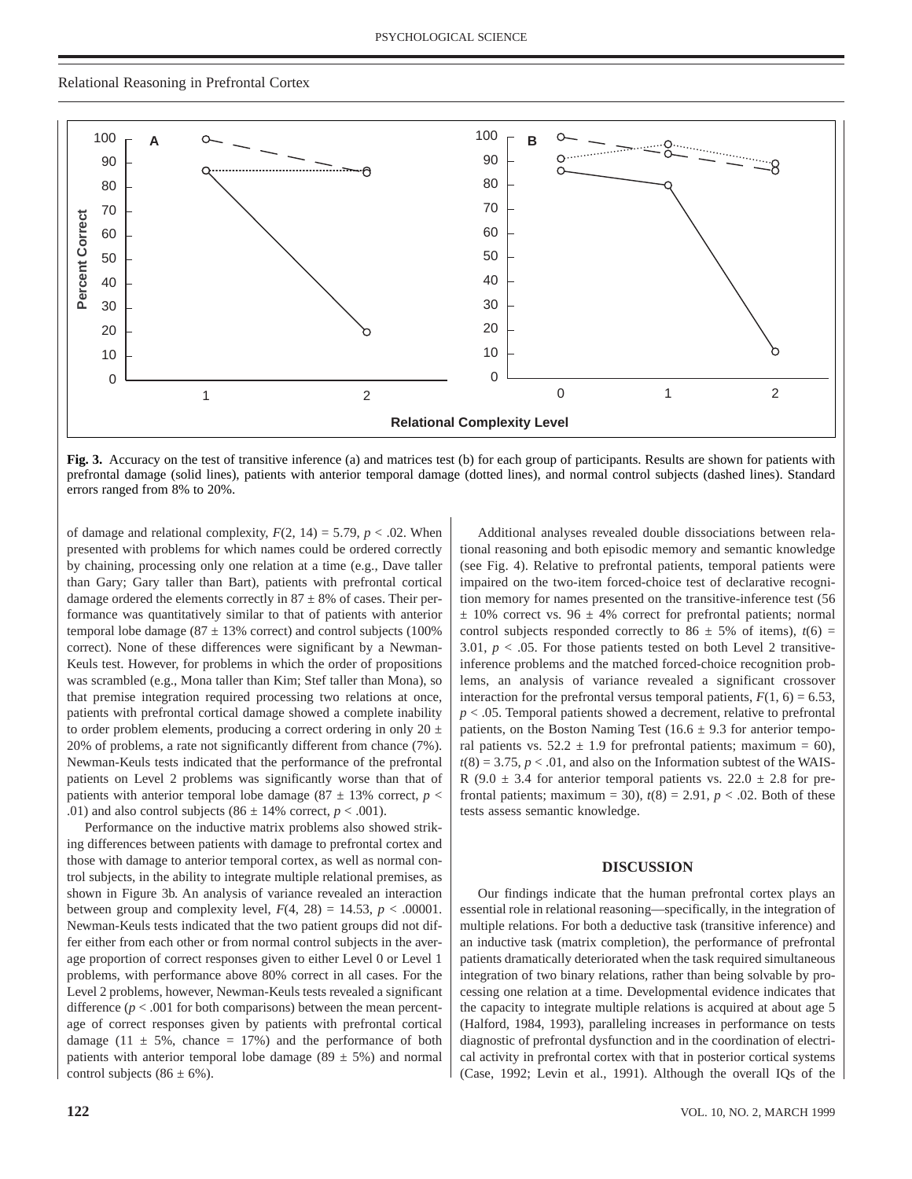#### Relational Reasoning in Prefrontal Cortex



**Fig. 3.** Accuracy on the test of transitive inference (a) and matrices test (b) for each group of participants. Results are shown for patients with prefrontal damage (solid lines), patients with anterior temporal damage (dotted lines), and normal control subjects (dashed lines). Standard errors ranged from 8% to 20%.

of damage and relational complexity,  $F(2, 14) = 5.79$ ,  $p < .02$ . When presented with problems for which names could be ordered correctly by chaining, processing only one relation at a time (e.g., Dave taller than Gary; Gary taller than Bart), patients with prefrontal cortical damage ordered the elements correctly in  $87 \pm 8\%$  of cases. Their performance was quantitatively similar to that of patients with anterior temporal lobe damage ( $87 \pm 13\%$  correct) and control subjects (100% correct). None of these differences were significant by a Newman-Keuls test. However, for problems in which the order of propositions was scrambled (e.g., Mona taller than Kim; Stef taller than Mona), so that premise integration required processing two relations at once, patients with prefrontal cortical damage showed a complete inability to order problem elements, producing a correct ordering in only 20  $\pm$ 20% of problems, a rate not significantly different from chance (7%). Newman-Keuls tests indicated that the performance of the prefrontal patients on Level 2 problems was significantly worse than that of patients with anterior temporal lobe damage  $(87 \pm 13\%)$  correct,  $p <$ .01) and also control subjects (86  $\pm$  14% correct,  $p < .001$ ).

Performance on the inductive matrix problems also showed striking differences between patients with damage to prefrontal cortex and those with damage to anterior temporal cortex, as well as normal control subjects, in the ability to integrate multiple relational premises, as shown in Figure 3b. An analysis of variance revealed an interaction between group and complexity level,  $F(4, 28) = 14.53$ ,  $p < .00001$ . Newman-Keuls tests indicated that the two patient groups did not differ either from each other or from normal control subjects in the average proportion of correct responses given to either Level 0 or Level 1 problems, with performance above 80% correct in all cases. For the Level 2 problems, however, Newman-Keuls tests revealed a significant difference  $(p < .001$  for both comparisons) between the mean percentage of correct responses given by patients with prefrontal cortical damage (11  $\pm$  5%, chance = 17%) and the performance of both patients with anterior temporal lobe damage (89  $\pm$  5%) and normal control subjects  $(86 \pm 6\%)$ .

Additional analyses revealed double dissociations between relational reasoning and both episodic memory and semantic knowledge (see Fig. 4). Relative to prefrontal patients, temporal patients were impaired on the two-item forced-choice test of declarative recognition memory for names presented on the transitive-inference test (56  $\pm$  10% correct vs. 96  $\pm$  4% correct for prefrontal patients; normal control subjects responded correctly to  $86 \pm 5\%$  of items),  $t(6) =$ 3.01,  $p < .05$ . For those patients tested on both Level 2 transitiveinference problems and the matched forced-choice recognition problems, an analysis of variance revealed a significant crossover interaction for the prefrontal versus temporal patients,  $F(1, 6) = 6.53$ , *p* < .05. Temporal patients showed a decrement, relative to prefrontal patients, on the Boston Naming Test  $(16.6 \pm 9.3)$  for anterior temporal patients vs.  $52.2 \pm 1.9$  for prefrontal patients; maximum = 60),  $t(8) = 3.75$ ,  $p < .01$ , and also on the Information subtest of the WAIS-R (9.0  $\pm$  3.4 for anterior temporal patients vs. 22.0  $\pm$  2.8 for prefrontal patients; maximum = 30),  $t(8) = 2.91$ ,  $p < .02$ . Both of these tests assess semantic knowledge.

#### **DISCUSSION**

Our findings indicate that the human prefrontal cortex plays an essential role in relational reasoning—specifically, in the integration of multiple relations. For both a deductive task (transitive inference) and an inductive task (matrix completion), the performance of prefrontal patients dramatically deteriorated when the task required simultaneous integration of two binary relations, rather than being solvable by processing one relation at a time. Developmental evidence indicates that the capacity to integrate multiple relations is acquired at about age 5 (Halford, 1984, 1993), paralleling increases in performance on tests diagnostic of prefrontal dysfunction and in the coordination of electrical activity in prefrontal cortex with that in posterior cortical systems (Case, 1992; Levin et al., 1991). Although the overall IQs of the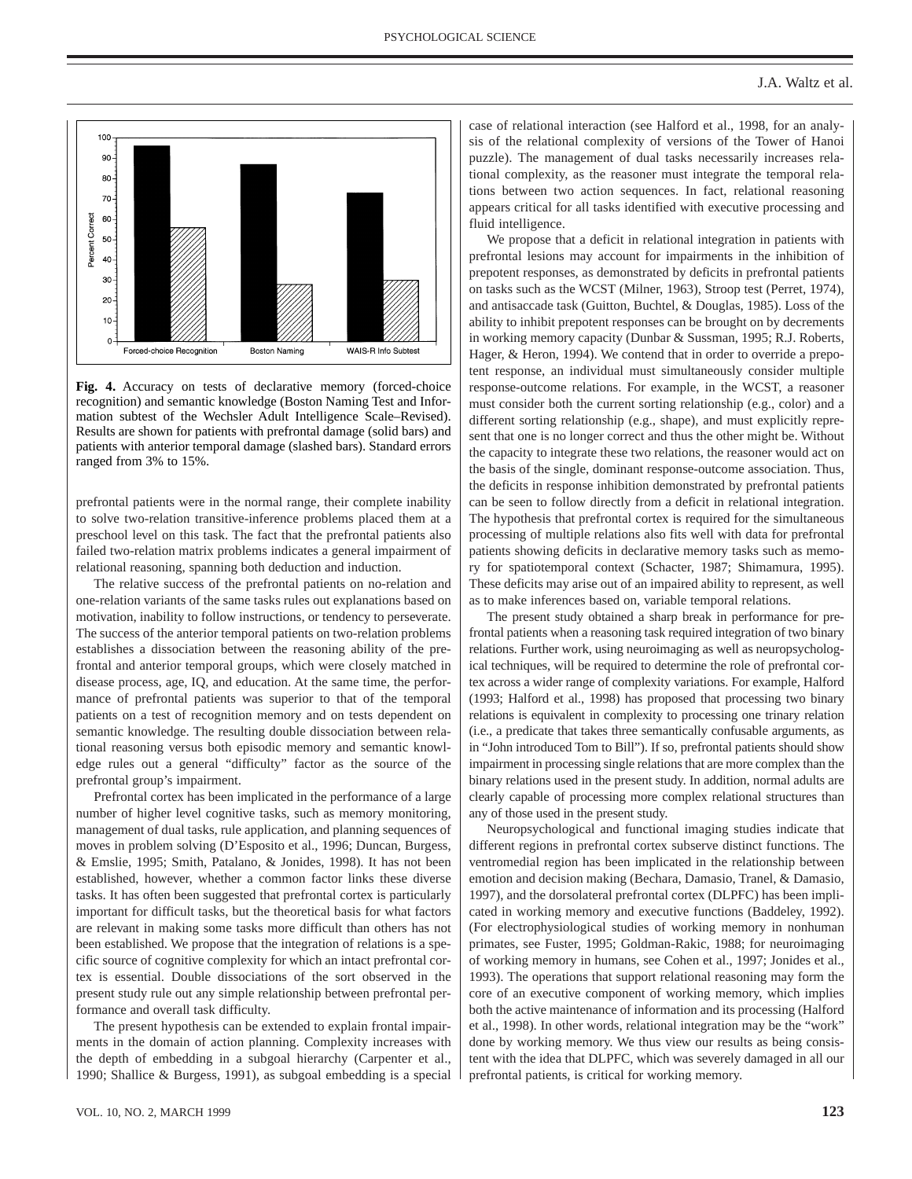## J.A. Waltz et al.



**Fig. 4.** Accuracy on tests of declarative memory (forced-choice recognition) and semantic knowledge (Boston Naming Test and Information subtest of the Wechsler Adult Intelligence Scale–Revised). Results are shown for patients with prefrontal damage (solid bars) and patients with anterior temporal damage (slashed bars). Standard errors ranged from 3% to 15%.

prefrontal patients were in the normal range, their complete inability to solve two-relation transitive-inference problems placed them at a preschool level on this task. The fact that the prefrontal patients also failed two-relation matrix problems indicates a general impairment of relational reasoning, spanning both deduction and induction.

The relative success of the prefrontal patients on no-relation and one-relation variants of the same tasks rules out explanations based on motivation, inability to follow instructions, or tendency to perseverate. The success of the anterior temporal patients on two-relation problems establishes a dissociation between the reasoning ability of the prefrontal and anterior temporal groups, which were closely matched in disease process, age, IQ, and education. At the same time, the performance of prefrontal patients was superior to that of the temporal patients on a test of recognition memory and on tests dependent on semantic knowledge. The resulting double dissociation between relational reasoning versus both episodic memory and semantic knowledge rules out a general "difficulty" factor as the source of the prefrontal group's impairment.

Prefrontal cortex has been implicated in the performance of a large number of higher level cognitive tasks, such as memory monitoring, management of dual tasks, rule application, and planning sequences of moves in problem solving (D'Esposito et al., 1996; Duncan, Burgess, & Emslie, 1995; Smith, Patalano, & Jonides, 1998). It has not been established, however, whether a common factor links these diverse tasks. It has often been suggested that prefrontal cortex is particularly important for difficult tasks, but the theoretical basis for what factors are relevant in making some tasks more difficult than others has not been established. We propose that the integration of relations is a specific source of cognitive complexity for which an intact prefrontal cortex is essential. Double dissociations of the sort observed in the present study rule out any simple relationship between prefrontal performance and overall task difficulty.

The present hypothesis can be extended to explain frontal impairments in the domain of action planning. Complexity increases with the depth of embedding in a subgoal hierarchy (Carpenter et al., 1990; Shallice & Burgess, 1991), as subgoal embedding is a special case of relational interaction (see Halford et al., 1998, for an analysis of the relational complexity of versions of the Tower of Hanoi puzzle). The management of dual tasks necessarily increases relational complexity, as the reasoner must integrate the temporal relations between two action sequences. In fact, relational reasoning appears critical for all tasks identified with executive processing and fluid intelligence.

We propose that a deficit in relational integration in patients with prefrontal lesions may account for impairments in the inhibition of prepotent responses, as demonstrated by deficits in prefrontal patients on tasks such as the WCST (Milner, 1963), Stroop test (Perret, 1974), and antisaccade task (Guitton, Buchtel, & Douglas, 1985). Loss of the ability to inhibit prepotent responses can be brought on by decrements in working memory capacity (Dunbar & Sussman, 1995; R.J. Roberts, Hager, & Heron, 1994). We contend that in order to override a prepotent response, an individual must simultaneously consider multiple response-outcome relations. For example, in the WCST, a reasoner must consider both the current sorting relationship (e.g., color) and a different sorting relationship (e.g., shape), and must explicitly represent that one is no longer correct and thus the other might be. Without the capacity to integrate these two relations, the reasoner would act on the basis of the single, dominant response-outcome association. Thus, the deficits in response inhibition demonstrated by prefrontal patients can be seen to follow directly from a deficit in relational integration. The hypothesis that prefrontal cortex is required for the simultaneous processing of multiple relations also fits well with data for prefrontal patients showing deficits in declarative memory tasks such as memory for spatiotemporal context (Schacter, 1987; Shimamura, 1995). These deficits may arise out of an impaired ability to represent, as well as to make inferences based on, variable temporal relations.

The present study obtained a sharp break in performance for prefrontal patients when a reasoning task required integration of two binary relations. Further work, using neuroimaging as well as neuropsychological techniques, will be required to determine the role of prefrontal cortex across a wider range of complexity variations. For example, Halford (1993; Halford et al., 1998) has proposed that processing two binary relations is equivalent in complexity to processing one trinary relation (i.e., a predicate that takes three semantically confusable arguments, as in "John introduced Tom to Bill"). If so, prefrontal patients should show impairment in processing single relations that are more complex than the binary relations used in the present study. In addition, normal adults are clearly capable of processing more complex relational structures than any of those used in the present study.

Neuropsychological and functional imaging studies indicate that different regions in prefrontal cortex subserve distinct functions. The ventromedial region has been implicated in the relationship between emotion and decision making (Bechara, Damasio, Tranel, & Damasio, 1997), and the dorsolateral prefrontal cortex (DLPFC) has been implicated in working memory and executive functions (Baddeley, 1992). (For electrophysiological studies of working memory in nonhuman primates, see Fuster, 1995; Goldman-Rakic, 1988; for neuroimaging of working memory in humans, see Cohen et al., 1997; Jonides et al., 1993). The operations that support relational reasoning may form the core of an executive component of working memory, which implies both the active maintenance of information and its processing (Halford et al., 1998). In other words, relational integration may be the "work" done by working memory. We thus view our results as being consistent with the idea that DLPFC, which was severely damaged in all our prefrontal patients, is critical for working memory.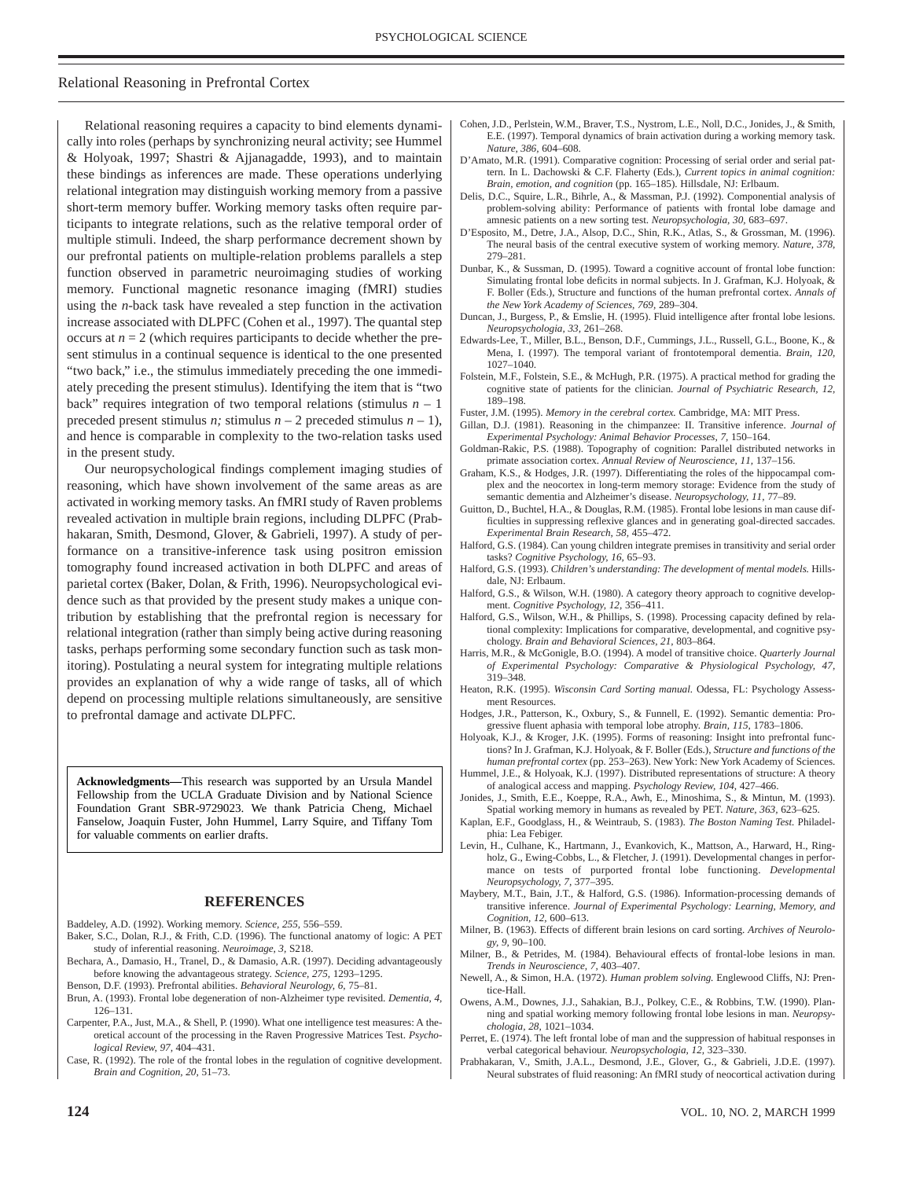#### Relational Reasoning in Prefrontal Cortex

Relational reasoning requires a capacity to bind elements dynamically into roles (perhaps by synchronizing neural activity; see Hummel & Holyoak, 1997; Shastri & Ajjanagadde, 1993), and to maintain these bindings as inferences are made. These operations underlying relational integration may distinguish working memory from a passive short-term memory buffer. Working memory tasks often require participants to integrate relations, such as the relative temporal order of multiple stimuli. Indeed, the sharp performance decrement shown by our prefrontal patients on multiple-relation problems parallels a step function observed in parametric neuroimaging studies of working memory. Functional magnetic resonance imaging (fMRI) studies using the *n*-back task have revealed a step function in the activation increase associated with DLPFC (Cohen et al., 1997). The quantal step occurs at  $n = 2$  (which requires participants to decide whether the present stimulus in a continual sequence is identical to the one presented "two back," i.e., the stimulus immediately preceding the one immediately preceding the present stimulus). Identifying the item that is "two back" requires integration of two temporal relations (stimulus  $n - 1$ ) preceded present stimulus *n*; stimulus  $n-2$  preceded stimulus  $n-1$ ), and hence is comparable in complexity to the two-relation tasks used in the present study.

Our neuropsychological findings complement imaging studies of reasoning, which have shown involvement of the same areas as are activated in working memory tasks. An fMRI study of Raven problems revealed activation in multiple brain regions, including DLPFC (Prabhakaran, Smith, Desmond, Glover, & Gabrieli, 1997). A study of performance on a transitive-inference task using positron emission tomography found increased activation in both DLPFC and areas of parietal cortex (Baker, Dolan, & Frith, 1996). Neuropsychological evidence such as that provided by the present study makes a unique contribution by establishing that the prefrontal region is necessary for relational integration (rather than simply being active during reasoning tasks, perhaps performing some secondary function such as task monitoring). Postulating a neural system for integrating multiple relations provides an explanation of why a wide range of tasks, all of which depend on processing multiple relations simultaneously, are sensitive to prefrontal damage and activate DLPFC.

**Acknowledgments—**This research was supported by an Ursula Mandel Fellowship from the UCLA Graduate Division and by National Science Foundation Grant SBR-9729023. We thank Patricia Cheng, Michael Fanselow, Joaquin Fuster, John Hummel, Larry Squire, and Tiffany Tom for valuable comments on earlier drafts.

### **REFERENCES**

- Baddeley, A.D. (1992). Working memory. *Science, 255,* 556–559.
- Baker, S.C., Dolan, R.J., & Frith, C.D. (1996). The functional anatomy of logic: A PET study of inferential reasoning. *Neuroimage, 3,* S218.
- Bechara, A., Damasio, H., Tranel, D., & Damasio, A.R. (1997). Deciding advantageously before knowing the advantageous strategy. *Science, 275,* 1293–1295.
- Benson, D.F. (1993). Prefrontal abilities. *Behavioral Neurology, 6,* 75–81.
- Brun, A. (1993). Frontal lobe degeneration of non-Alzheimer type revisited. *Dementia, 4,* 126–131.
- Carpenter, P.A., Just, M.A., & Shell, P. (1990). What one intelligence test measures: A theoretical account of the processing in the Raven Progressive Matrices Test. *Psychological Review, 97,* 404–431.
- Case, R. (1992). The role of the frontal lobes in the regulation of cognitive development. *Brain and Cognition, 20,* 51–73.
- Cohen, J.D., Perlstein, W.M., Braver, T.S., Nystrom, L.E., Noll, D.C., Jonides, J., & Smith, E.E. (1997). Temporal dynamics of brain activation during a working memory task. *Nature, 386,* 604–608.
- D'Amato, M.R. (1991). Comparative cognition: Processing of serial order and serial pattern. In L. Dachowski & C.F. Flaherty (Eds.), *Current topics in animal cognition: Brain, emotion, and cognition* (pp. 165–185). Hillsdale, NJ: Erlbaum.
- Delis, D.C., Squire, L.R., Bihrle, A., & Massman, P.J. (1992). Componential analysis of problem-solving ability: Performance of patients with frontal lobe damage and amnesic patients on a new sorting test. *Neuropsychologia, 30,* 683–697.
- D'Esposito, M., Detre, J.A., Alsop, D.C., Shin, R.K., Atlas, S., & Grossman, M. (1996). The neural basis of the central executive system of working memory. *Nature, 378,* 279–281.
- Dunbar, K., & Sussman, D. (1995). Toward a cognitive account of frontal lobe function: Simulating frontal lobe deficits in normal subjects. In J. Grafman, K.J. Holyoak, & F. Boller (Eds.), Structure and functions of the human prefrontal cortex. *Annals of the New York Academy of Sciences, 769,* 289–304.
- Duncan, J., Burgess, P., & Emslie, H. (1995). Fluid intelligence after frontal lobe lesions. *Neuropsychologia, 33,* 261–268.
- Edwards-Lee, T., Miller, B.L., Benson, D.F., Cummings, J.L., Russell, G.L., Boone, K., & Mena, I. (1997). The temporal variant of frontotemporal dementia. *Brain, 120,* 1027–1040.
- Folstein, M.F., Folstein, S.E., & McHugh, P.R. (1975). A practical method for grading the cognitive state of patients for the clinician. *Journal of Psychiatric Research, 12,* 189–198.

Fuster, J.M. (1995). *Memory in the cerebral cortex.* Cambridge, MA: MIT Press.

- Gillan, D.J. (1981). Reasoning in the chimpanzee: II. Transitive inference. *Journal of Experimental Psychology: Animal Behavior Processes, 7,* 150–164.
- Goldman-Rakic, P.S. (1988). Topography of cognition: Parallel distributed networks in primate association cortex. *Annual Review of Neuroscience, 11,* 137–156.
- Graham, K.S., & Hodges, J.R. (1997). Differentiating the roles of the hippocampal complex and the neocortex in long-term memory storage: Evidence from the study of semantic dementia and Alzheimer's disease. *Neuropsychology, 11,* 77–89.
- Guitton, D., Buchtel, H.A., & Douglas, R.M. (1985). Frontal lobe lesions in man cause difficulties in suppressing reflexive glances and in generating goal-directed saccades. *Experimental Brain Research, 58,* 455–472.
- Halford, G.S. (1984). Can young children integrate premises in transitivity and serial order tasks? *Cognitive Psychology, 16,* 65–93.
- Halford, G.S. (1993). *Children's understanding: The development of mental models.* Hillsdale, NJ: Erlbaum.
- Halford, G.S., & Wilson, W.H. (1980). A category theory approach to cognitive development. *Cognitive Psychology, 12,* 356–411.
- Halford, G.S., Wilson, W.H., & Phillips, S. (1998). Processing capacity defined by relational complexity: Implications for comparative, developmental, and cognitive psychology. *Brain and Behavioral Sciences, 21,* 803–864.
- Harris, M.R., & McGonigle, B.O. (1994). A model of transitive choice. *Quarterly Journal of Experimental Psychology: Comparative & Physiological Psychology, 47,* 319–348.
- Heaton, R.K. (1995). *Wisconsin Card Sorting manual.* Odessa, FL: Psychology Assessment Resources.
- Hodges, J.R., Patterson, K., Oxbury, S., & Funnell, E. (1992). Semantic dementia: Progressive fluent aphasia with temporal lobe atrophy. *Brain, 115,* 1783–1806.

Holyoak, K.J., & Kroger, J.K. (1995). Forms of reasoning: Insight into prefrontal functions? In J. Grafman, K.J. Holyoak, & F. Boller (Eds.), *Structure and functions of the human prefrontal cortex* (pp. 253–263). New York: New York Academy of Sciences.

Hummel, J.E., & Holyoak, K.J. (1997). Distributed representations of structure: A theory of analogical access and mapping. *Psychology Review, 104,* 427–466.

- Jonides, J., Smith, E.E., Koeppe, R.A., Awh, E., Minoshima, S., & Mintun, M. (1993). Spatial working memory in humans as revealed by PET. *Nature, 363,* 623–625.
- Kaplan, E.F., Goodglass, H., & Weintraub, S. (1983). *The Boston Naming Test.* Philadelphia: Lea Febiger.
- Levin, H., Culhane, K., Hartmann, J., Evankovich, K., Mattson, A., Harward, H., Ringholz, G., Ewing-Cobbs, L., & Fletcher, J. (1991). Developmental changes in performance on tests of purported frontal lobe functioning. *Developmental Neuropsychology, 7,* 377–395.
- Maybery, M.T., Bain, J.T., & Halford, G.S. (1986). Information-processing demands of transitive inference. *Journal of Experimental Psychology: Learning, Memory, and Cognition, 12,* 600–613.
- Milner, B. (1963). Effects of different brain lesions on card sorting. *Archives of Neurology, 9,* 90–100.
- Milner, B., & Petrides, M. (1984). Behavioural effects of frontal-lobe lesions in man. *Trends in Neuroscience, 7,* 403–407.
- Newell, A., & Simon, H.A. (1972). *Human problem solving.* Englewood Cliffs, NJ: Prentice-Hall.
- Owens, A.M., Downes, J.J., Sahakian, B.J., Polkey, C.E., & Robbins, T.W. (1990). Planning and spatial working memory following frontal lobe lesions in man. *Neuropsychologia, 28,* 1021–1034.
- Perret, E. (1974). The left frontal lobe of man and the suppression of habitual responses in verbal categorical behaviour. *Neuropsychologia, 12,* 323–330.
- Prabhakaran, V., Smith, J.A.L., Desmond, J.E., Glover, G., & Gabrieli, J.D.E. (1997). Neural substrates of fluid reasoning: An fMRI study of neocortical activation during